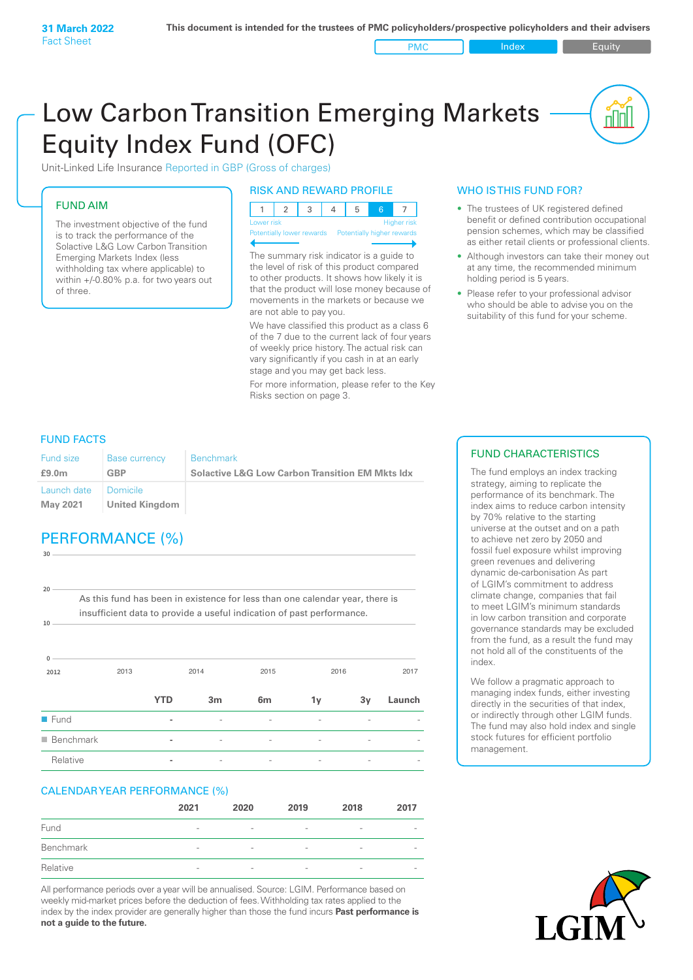PMC Index **Index** Equity

nl Inl

# Low Carbon Transition Emerging Markets Equity Index Fund (OFC)

Unit-Linked Life Insurance Reported in GBP (Gross of charges)

# FUND AIM

The investment objective of the fund is to track the performance of the Solactive L&G Low Carbon Transition Emerging Markets Index (less withholding tax where applicable) to within +/-0.80% p.a. for two years out of three.

#### RISK AND REWARD PROFILE

| Lower risk |  |  | <b>Higher risk</b> |
|------------|--|--|--------------------|

ntially lower rewards

The summary risk indicator is a guide to the level of risk of this product compared to other products. It shows how likely it is that the product will lose money because of movements in the markets or because we are not able to pay you.

We have classified this product as a class 6 of the 7 due to the current lack of four years of weekly price history. The actual risk can vary significantly if you cash in at an early stage and you may get back less.

For more information, please refer to the Key Risks section on page 3.

## WHO IS THIS FUND FOR?

- The trustees of UK registered defined benefit or defined contribution occupational pension schemes, which may be classified as either retail clients or professional clients.
- Although investors can take their money out at any time, the recommended minimum holding period is 5 years.
- Please refer to your professional advisor who should be able to advise you on the suitability of this fund for your scheme.

## FUND FACTS

**30**

| Fund size                        | <b>Base currency</b> | Benchmark                                                  |
|----------------------------------|----------------------|------------------------------------------------------------|
| £9.0 <sub>m</sub>                | GBP                  | <b>Solactive L&amp;G Low Carbon Transition EM Mkts Idx</b> |
| Launch date Domicile<br>May 2021 | United Kingdom       |                                                            |

# PERFORMANCE (%)

**2012** 2013 2014 2015 2016 2017 **0 10 20** As this fund has been in existence for less than one calendar year, there is insufficient data to provide a useful indication of past performance. **YTD 3m 6m 1y 3y Launch** n Fund **-** - - - - n Benchmark **-** - - - - - Relative **-** - - - - -

### CALENDAR YEAR PERFORMANCE (%)

|           | 2021                     | 2020                     | 2019            | 2018                     | 2017                     |
|-----------|--------------------------|--------------------------|-----------------|--------------------------|--------------------------|
| Fund      | $\overline{\phantom{a}}$ | $\overline{\phantom{a}}$ | $\qquad \qquad$ | $\overline{\phantom{a}}$ | $\overline{\phantom{a}}$ |
| Benchmark | $\overline{\phantom{a}}$ | $\qquad \qquad$          | $\qquad \qquad$ | $\overline{\phantom{a}}$ | $\overline{\phantom{a}}$ |
| Relative  | $\qquad \qquad$          | $\overline{\phantom{a}}$ | -               | $\overline{\phantom{0}}$ | -                        |

All performance periods over a year will be annualised. Source: LGIM. Performance based on weekly mid-market prices before the deduction of fees. Withholding tax rates applied to the index by the index provider are generally higher than those the fund incurs **Past performance is not a guide to the future.**

# FUND CHARACTERISTICS

The fund employs an index tracking strategy, aiming to replicate the performance of its benchmark. The index aims to reduce carbon intensity by 70% relative to the starting universe at the outset and on a path to achieve net zero by 2050 and fossil fuel exposure whilst improving green revenues and delivering dynamic de-carbonisation As part of LGIM's commitment to address climate change, companies that fail to meet LGIM's minimum standards in low carbon transition and corporate governance standards may be excluded from the fund, as a result the fund may not hold all of the constituents of the index.

We follow a pragmatic approach to managing index funds, either investing directly in the securities of that index, or indirectly through other LGIM funds. The fund may also hold index and single stock futures for efficient portfolio management.

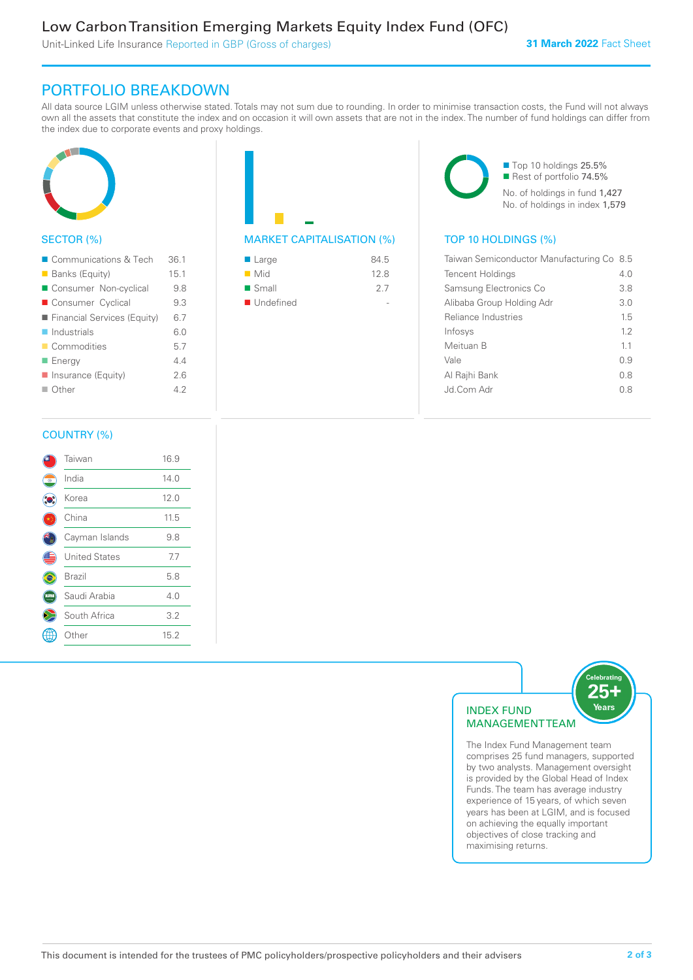Unit-Linked Life Insurance Reported in GBP (Gross of charges)

# PORTFOLIO BREAKDOWN

All data source LGIM unless otherwise stated. Totals may not sum due to rounding. In order to minimise transaction costs, the Fund will not always own all the assets that constitute the index and on occasion it will own assets that are not in the index. The number of fund holdings can differ from the index due to corporate events and proxy holdings.



## SECTOR (%)

| ■ Communications & Tech     | 36.1 |
|-----------------------------|------|
| <b>Banks (Equity)</b>       | 15.1 |
| Consumer Non-cyclical       | 9.8  |
| Consumer Cyclical           | 9.3  |
| Financial Services (Equity) | 6.7  |
| $\blacksquare$ Industrials  | 6.0  |
| ■ Commodities               | 5.7  |
| <b>Energy</b>               | 44   |
| Insurance (Equity)          | 2.6  |
| $\blacksquare$ Other        | 42   |
|                             |      |

| <b>MARKET CAPITALISATION</b> |
|------------------------------|

| ■ Large              | 84.5 |
|----------------------|------|
| $\blacksquare$ Mid   | 12.8 |
| $\blacksquare$ Small | 27   |
| ■ Undefined          |      |

■ Top 10 holdings 25.5% Rest of portfolio 74.5% No. of holdings in fund 1,427 No. of holdings in index 1,579

## $(\%)$  TOP 10 HOLDINGS  $(\%)$

| Taiwan Semiconductor Manufacturing Co 8.5 |     |
|-------------------------------------------|-----|
| <b>Tencent Holdings</b>                   | 4 N |
| Samsung Electronics Co                    | 3.8 |
| Alibaba Group Holding Adr                 | 3.0 |
| Reliance Industries                       | 15  |
| Infosys                                   | 12  |
| Meituan B                                 | 11  |
| Vale                                      | 09  |
| Al Rajhi Bank                             | 0 S |
| .Jd Com Adr                               | 0 8 |
|                                           |     |

#### COUNTRY (%)

|   | Taiwan               | 16.9 |  |
|---|----------------------|------|--|
| ۰ | India                | 14.0 |  |
|   | Korea                | 12.0 |  |
|   | China                | 11.5 |  |
|   | Cayman Islands       | 9.8  |  |
|   | <b>United States</b> | 7.7  |  |
|   | <b>Brazil</b>        | 5.8  |  |
|   | Saudi Arabia         | 4.0  |  |
|   | South Africa         | 3.2  |  |
|   | Other                | 15.2 |  |
|   |                      |      |  |



The Index Fund Management team comprises 25 fund managers, supported by two analysts. Management oversight is provided by the Global Head of Index Funds. The team has average industry experience of 15 years, of which seven years has been at LGIM, and is focused on achieving the equally important objectives of close tracking and maximising returns.